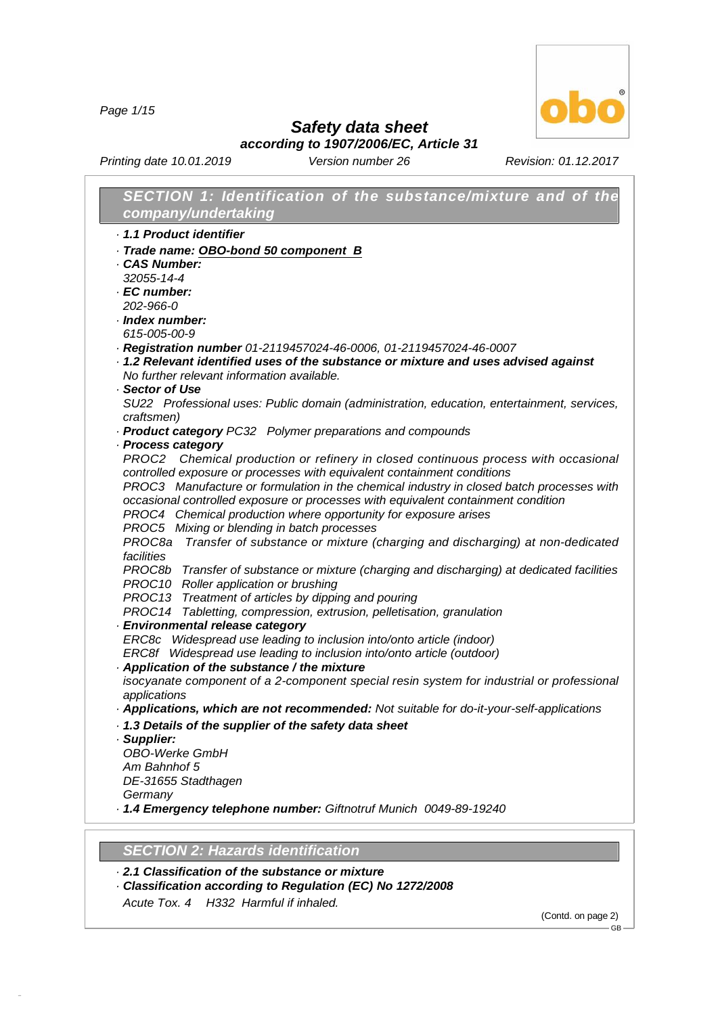*Page 1/15*



*Safety data sheet according to 1907/2006/EC, Article 31*

*Printing date 10.01.2019 Version number 26 Revision: 01.12.2017*

| SECTION 1: Identification of the substance/mixture and of the                                            |
|----------------------------------------------------------------------------------------------------------|
| company/undertaking                                                                                      |
| 1.1 Product identifier                                                                                   |
| Trade name: OBO-bond 50 component B                                                                      |
| <b>CAS Number:</b>                                                                                       |
| 32055-14-4                                                                                               |
| · EC number:                                                                                             |
| 202-966-0                                                                                                |
| $\cdot$ Index number:                                                                                    |
| 615-005-00-9                                                                                             |
| Registration number 01-2119457024-46-0006, 01-2119457024-46-0007                                         |
| 1.2 Relevant identified uses of the substance or mixture and uses advised against                        |
| No further relevant information available.                                                               |
| · Sector of Use                                                                                          |
| SU22 Professional uses: Public domain (administration, education, entertainment, services,               |
| craftsmen)                                                                                               |
| · Product category PC32 Polymer preparations and compounds                                               |
| · Process category<br>PROC2 Chemical production or refinery in closed continuous process with occasional |
| controlled exposure or processes with equivalent containment conditions                                  |
| PROC3 Manufacture or formulation in the chemical industry in closed batch processes with                 |
| occasional controlled exposure or processes with equivalent containment condition                        |
| PROC4 Chemical production where opportunity for exposure arises                                          |
| PROC5 Mixing or blending in batch processes                                                              |
| Transfer of substance or mixture (charging and discharging) at non-dedicated<br>PROC8a                   |
| facilities                                                                                               |
| PROC8b Transfer of substance or mixture (charging and discharging) at dedicated facilities               |
| PROC10 Roller application or brushing                                                                    |
| PROC13 Treatment of articles by dipping and pouring                                                      |
| PROC14 Tabletting, compression, extrusion, pelletisation, granulation                                    |
| · Environmental release category                                                                         |
| ERC8c Widespread use leading to inclusion into/onto article (indoor)                                     |
| ERC8f Widespread use leading to inclusion into/onto article (outdoor)                                    |
| Application of the substance / the mixture                                                               |
| isocyanate component of a 2-component special resin system for industrial or professional                |
| applications                                                                                             |
| · Applications, which are not recommended: Not suitable for do-it-your-self-applications                 |
| 1.3 Details of the supplier of the safety data sheet                                                     |
| · Supplier:                                                                                              |
| <b>OBO-Werke GmbH</b>                                                                                    |
| Am Bahnhof 5                                                                                             |
| DE-31655 Stadthagen                                                                                      |
| Germany<br>- 1.4 Emergency telephone number: Giftnotruf Munich 0049-89-19240                             |
|                                                                                                          |
|                                                                                                          |
|                                                                                                          |

## *SECTION 2:Hazards identification*

- *· 2.1 Classification of the substance or mixture*
- *· Classification according to Regulation (EC) No 1272/2008*
- *Acute Tox. 4 H332 Harmful if inhaled.*

48.0.6

(Contd. on page 2)  $-\ddot{\mathsf{G}}$ B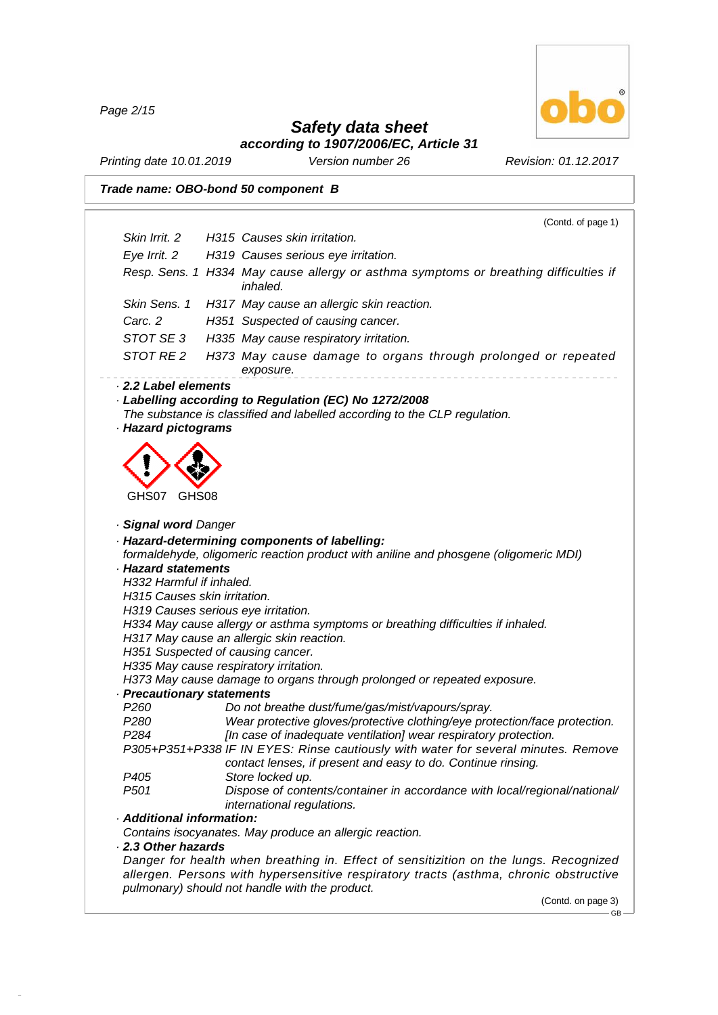*Page 2/15*

48.0.6



### *Safety data sheet according to 1907/2006/EC, Article 31*

*Printing date 10.01.2019 Version number 26 Revision: 01.12.2017*

*Trade name: OBO-bond 50 component B*

|                                                                                      | (Contd. of page 1)                                                                                                                                                                                                               |
|--------------------------------------------------------------------------------------|----------------------------------------------------------------------------------------------------------------------------------------------------------------------------------------------------------------------------------|
| Skin Irrit. 2                                                                        | H315 Causes skin irritation.                                                                                                                                                                                                     |
| Eye Irrit. 2                                                                         | H319 Causes serious eye irritation.                                                                                                                                                                                              |
|                                                                                      | Resp. Sens. 1 H334 May cause allergy or asthma symptoms or breathing difficulties if<br><i>inhaled.</i>                                                                                                                          |
| Skin Sens. 1                                                                         | H317 May cause an allergic skin reaction.                                                                                                                                                                                        |
| Carc. 2                                                                              | H351 Suspected of causing cancer.                                                                                                                                                                                                |
| STOT SE3                                                                             | H335 May cause respiratory irritation.                                                                                                                                                                                           |
| STOT RE 2                                                                            | H373 May cause damage to organs through prolonged or repeated<br>exposure.                                                                                                                                                       |
| · Hazard pictograms                                                                  | · Labelling according to Regulation (EC) No 1272/2008<br>The substance is classified and labelled according to the CLP regulation.                                                                                               |
| GHS07<br>GHS08                                                                       |                                                                                                                                                                                                                                  |
| · Signal word Danger                                                                 |                                                                                                                                                                                                                                  |
| <b>Hazard statements</b><br>H332 Harmful if inhaled.<br>H315 Causes skin irritation. | · Hazard-determining components of labelling:<br>formaldehyde, oligomeric reaction product with aniline and phosgene (oligomeric MDI)                                                                                            |
|                                                                                      | H319 Causes serious eye irritation.                                                                                                                                                                                              |
|                                                                                      | H334 May cause allergy or asthma symptoms or breathing difficulties if inhaled.<br>H317 May cause an allergic skin reaction.                                                                                                     |
|                                                                                      | H351 Suspected of causing cancer.                                                                                                                                                                                                |
|                                                                                      | H335 May cause respiratory irritation.                                                                                                                                                                                           |
|                                                                                      | H373 May cause damage to organs through prolonged or repeated exposure.                                                                                                                                                          |
| · Precautionary statements<br>P <sub>260</sub>                                       | Do not breathe dust/fume/gas/mist/vapours/spray.                                                                                                                                                                                 |
| P <sub>280</sub>                                                                     | Wear protective gloves/protective clothing/eye protection/face protection.                                                                                                                                                       |
| P <sub>2</sub> 84                                                                    | [In case of inadequate ventilation] wear respiratory protection.                                                                                                                                                                 |
|                                                                                      | P305+P351+P338 IF IN EYES: Rinse cautiously with water for several minutes. Remove                                                                                                                                               |
|                                                                                      | contact lenses, if present and easy to do. Continue rinsing.                                                                                                                                                                     |
| P <sub>405</sub>                                                                     | Store locked up.                                                                                                                                                                                                                 |
| P <sub>501</sub>                                                                     | Dispose of contents/container in accordance with local/regional/national/<br>international regulations.                                                                                                                          |
| · Additional information:                                                            |                                                                                                                                                                                                                                  |
|                                                                                      | Contains isocyanates. May produce an allergic reaction.                                                                                                                                                                          |
| 2.3 Other hazards                                                                    |                                                                                                                                                                                                                                  |
|                                                                                      | Danger for health when breathing in. Effect of sensitizition on the lungs. Recognized<br>allergen. Persons with hypersensitive respiratory tracts (asthma, chronic obstructive<br>pulmonary) should not handle with the product. |

(Contd. on page 3)

 $-$  GB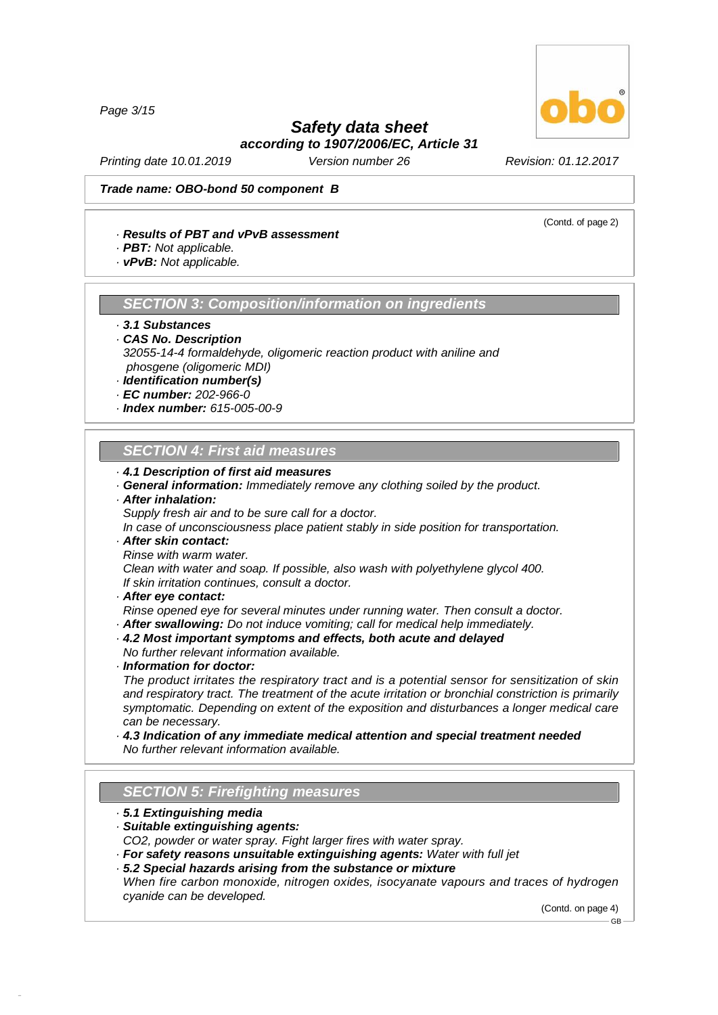*Page 3/15*

### *Safety data sheet according to 1907/2006/EC, Article 31*

*Printing date 10.01.2019 Version number 26 Revision: 01.12.2017*

### *Trade name: OBO-bond 50 component B*

### *· Results of PBT and vPvB assessment*

- *· PBT: Not applicable.*
- *· vPvB: Not applicable.*

### *SECTION 3:Composition/information on ingredients*

- *· 3.1 Substances*
- *· CAS No. Description 32055-14-4 formaldehyde, oligomeric reaction product with aniline and phosgene (oligomeric MDI)*
- *· Identification number(s)*
- *· EC number: 202-966-0*
- *· Index number: 615-005-00-9*

### *SECTION 4:First aid measures*

- *· 4.1 Description of first aid measures*
- *· General information: Immediately remove any clothing soiled by the product.*

### *· After inhalation:*

*Supply fresh air and to be sure call for a doctor.*

*In case of unconsciousness place patient stably in side position for transportation.*

- *· After skin contact:*
- *Rinse with warm water.*

*Clean with water and soap. If possible, also wash with polyethylene glycol 400. If skin irritation continues, consult a doctor.*

*· After eye contact:*

*Rinse opened eye for several minutes under running water. Then consult a doctor.*

- *· After swallowing: Do not induce vomiting; call for medical help immediately.*
- *· 4.2 Most important symptoms and effects, both acute and delayed*
- *No further relevant information available.*
- *· Information for doctor:*

*The product irritates the respiratory tract and is a potential sensor for sensitization of skin and respiratory tract. The treatment of the acute irritation or bronchial constriction is primarily symptomatic. Depending on extent of the exposition and disturbances a longer medical care can be necessary.*

*· 4.3 Indication of any immediate medical attention and special treatment needed No further relevant information available.*

### **SECTION 5: Firefighting measures**

*· 5.1 Extinguishing media*

48.0.6

- *· Suitable extinguishing agents: CO2, powder or water spray. Fight larger fires with water spray.*
- *· For safety reasons unsuitable extinguishing agents: Water with full jet*
- *· 5.2 Special hazards arising from the substance or mixture*
- *When fire carbon monoxide, nitrogen oxides, isocyanate vapours and traces of hydrogen cyanide can be developed.*

(Contd. on page 4) GB



(Contd. of page 2)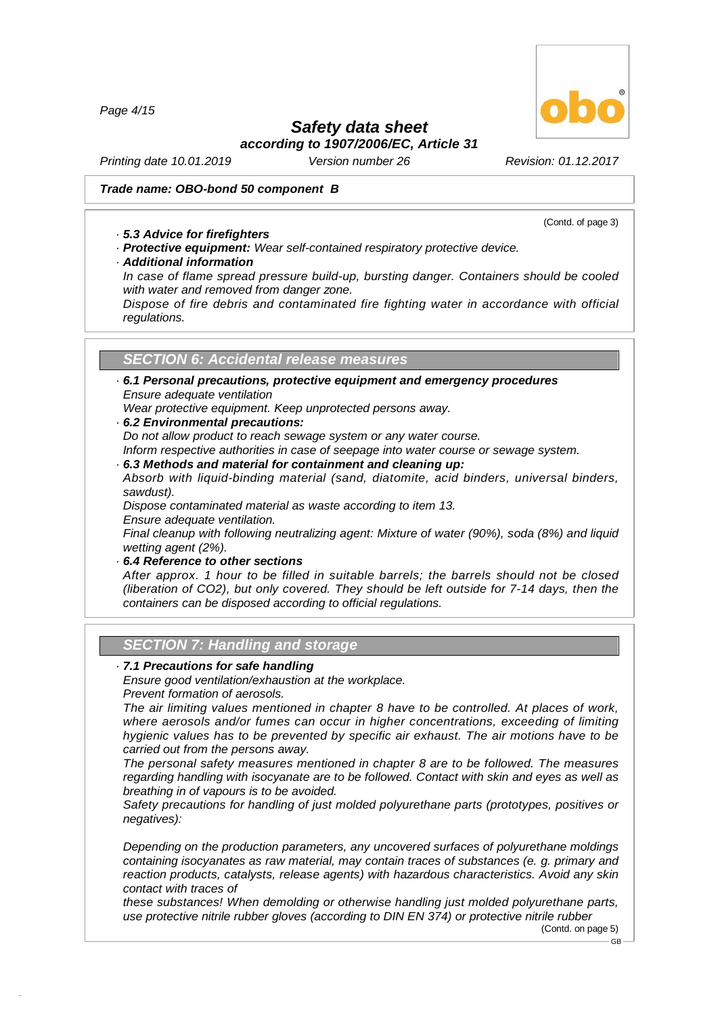*Page 4/15*

### *Safety data sheet*

*according to 1907/2006/EC, Article 31*

*Printing date 10.01.2019 Version number 26 Revision: 01.12.2017*

### *Trade name: OBO-bond 50 component B*

(Contd. of page 3)

### *· 5.3 Advice for firefighters*

*· Protective equipment: Wear self-contained respiratory protective device.*

### *· Additional information*

*In case of flame spread pressure build-up, bursting danger. Containers should be cooled with water and removed from danger zone.*

*Dispose of fire debris and contaminated fire fighting water in accordance with official regulations.*

### *SECTION 6:Accidental release measures*

*· 6.1 Personal precautions, protective equipment and emergency procedures Ensure adequate ventilation*

*Wear protective equipment. Keep unprotected persons away.*

*· 6.2 Environmental precautions:*

*Do not allow product to reach sewage system or any water course.*

*Inform respective authorities in case of seepage into water course or sewage system. · 6.3 Methods and material for containment and cleaning up:*

*Absorb with liquid-binding material (sand, diatomite, acid binders, universal binders, sawdust).*

*Dispose contaminated material as waste according to item 13.Ensure adequate ventilation.*

*Final cleanup with following neutralizing agent: Mixture of water (90%), soda (8%) and liquid wetting agent (2%).*

*· 6.4 Reference to other sections*

*After approx. 1 hour to be filled in suitable barrels; the barrels should not be closed (liberation of CO2), but only covered. They should be left outside for 7-14 days, then the containers can be disposed according to official regulations.*

### **SECTION 7: Handling and storage**

### *· 7.1 Precautions for safe handling*

*Ensure good ventilation/exhaustion at the workplace.*

*Prevent formation of aerosols.*

48.0.6

*The air limiting values mentioned in chapter 8 have to be controlled. At places of work, where aerosols and/or fumes can occur in higher concentrations, exceeding of limiting hygienic values has to be prevented by specific air exhaust. The air motions have to be carried out from the persons away.*

*The personal safety measures mentioned in chapter 8 are to be followed. The measures regarding handling with isocyanate are to be followed. Contact with skin and eyes as well as breathing in of vapours is to be avoided.*

*Safety precautions for handling of just molded polyurethane parts (prototypes, positives or negatives):*

*Depending on the production parameters, any uncovered surfaces of polyurethane moldings containing isocyanates as raw material, may contain traces of substances (e. g. primary and reaction products, catalysts, release agents) with hazardous characteristics. Avoid any skin contact with traces of*

*these substances! When demolding or otherwise handling just molded polyurethane parts, use protective nitrile rubber gloves (according to DIN EN 374) or protective nitrile rubber*

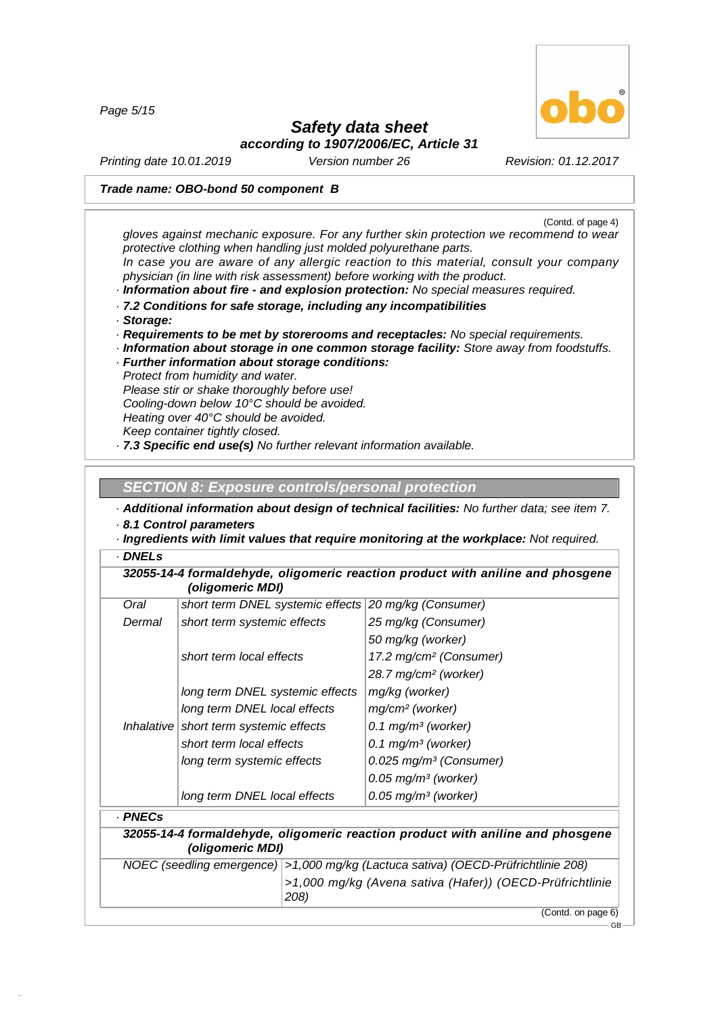*Page 5/15*



GB

## *Safety data sheet*

*according to 1907/2006/EC, Article 31*

*Printing date 10.01.2019 Version number 26 Revision: 01.12.2017*

### *Trade name: OBO-bond 50 component B*

(Contd. of page 4) *gloves against mechanic exposure. For any further skin protection we recommend to wear protective clothing when handling just molded polyurethane parts. In case you are aware of any allergic reaction to this material, consult your company physician (in line with risk assessment) before working with the product. · Information about fire - and explosion protection: No special measures required. · 7.2 Conditions for safe storage, including any incompatibilities · Storage: · Requirements to be met by storerooms and receptacles: No special requirements. · Information about storage in one common storage facility: Store away from foodstuffs. · Further information about storage conditions: Protect from humidity and water. Please stir or shake thoroughly before use! Cooling-down below 10°C should be avoided.*

*Heating over 40°C should be avoided.*

*Keep container tightly closed.*

*· 7.3 Specific end use(s) No further relevant information available.*

### **SECTION 8: Exposure controls/personal protection**

*· Additional information about design of technical facilities: No further data; see item 7. · 8.1 Control parameters*

*· Ingredients with limit values that require monitoring at the workplace: Not required. · DNELs*

| 32055-14-4 formaldehyde, oligomeric reaction product with aniline and phosgene |  |
|--------------------------------------------------------------------------------|--|
| (oligomeric MDI)                                                               |  |

| Oral   | short term DNEL systemic effects       | 20 mg/kg (Consumer)                  |
|--------|----------------------------------------|--------------------------------------|
| Dermal | short term systemic effects            | 25 mg/kg (Consumer)                  |
|        |                                        | 50 mg/kg (worker)                    |
|        | short term local effects               | 17.2 mg/cm <sup>2</sup> (Consumer)   |
|        |                                        | 28.7 mg/cm <sup>2</sup> (worker)     |
|        | long term DNEL systemic effects        | mg/kg (worker)                       |
|        | long term DNEL local effects           | mg/cm <sup>2</sup> (worker)          |
|        | Inhalative short term systemic effects | 0.1 mg/m <sup>3</sup> (worker)       |
|        | short term local effects               | 0.1 mg/m <sup>3</sup> (worker)       |
|        | long term systemic effects             | $0.025$ mg/m <sup>3</sup> (Consumer) |
|        |                                        | $0.05$ mg/m <sup>3</sup> (worker)    |
|        | long term DNEL local effects           | $0.05$ mg/m <sup>3</sup> (worker)    |
|        |                                        |                                      |

### *· PNECs*

48.0.6

*32055-14-4 formaldehyde, oligomeric reaction product with aniline and phosgene (oligomeric MDI)*

| NOEC (seedling emergence)   >1,000 mg/kg (Lactuca sativa) (OECD-Prüfrichtlinie 208) |  |
|-------------------------------------------------------------------------------------|--|
| >1,000 mg/kg (Avena sativa (Hafer)) (OECD-Prüfrichtlinie                            |  |
| 208)                                                                                |  |
| (Contd. on page 6)                                                                  |  |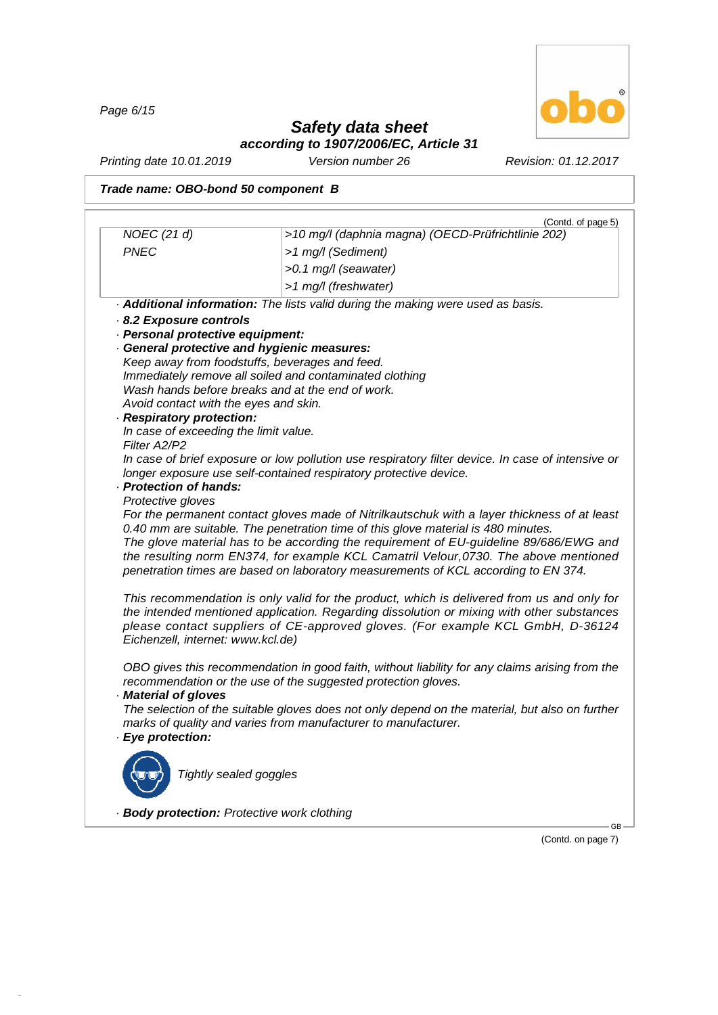*Page 6/15*

48.0.6



# *Safety data sheet*

*according to 1907/2006/EC, Article 31*

*Printing date 10.01.2019 Version number 26 Revision: 01.12.2017*

*Trade name: OBO-bond 50 component B*

|                                             | (Contd. of page 5)                                                                                                                                              |
|---------------------------------------------|-----------------------------------------------------------------------------------------------------------------------------------------------------------------|
| NOEC (21 d)                                 | >10 mg/l (daphnia magna) (OECD-Prüfrichtlinie 202)                                                                                                              |
| <b>PNEC</b>                                 | >1 mg/l (Sediment)                                                                                                                                              |
|                                             | >0.1 mg/l (seawater)                                                                                                                                            |
|                                             | >1 mg/l (freshwater)                                                                                                                                            |
|                                             | . Additional information: The lists valid during the making were used as basis.                                                                                 |
| 8.2 Exposure controls                       |                                                                                                                                                                 |
| · Personal protective equipment:            |                                                                                                                                                                 |
|                                             | General protective and hygienic measures:                                                                                                                       |
|                                             | Keep away from foodstuffs, beverages and feed.<br>Immediately remove all soiled and contaminated clothing                                                       |
|                                             | Wash hands before breaks and at the end of work.                                                                                                                |
| Avoid contact with the eyes and skin.       |                                                                                                                                                                 |
| · Respiratory protection:                   |                                                                                                                                                                 |
| In case of exceeding the limit value.       |                                                                                                                                                                 |
| Filter A2/P2                                |                                                                                                                                                                 |
|                                             | In case of brief exposure or low pollution use respiratory filter device. In case of intensive or                                                               |
| · Protection of hands:                      | longer exposure use self-contained respiratory protective device.                                                                                               |
| Protective gloves                           |                                                                                                                                                                 |
|                                             | For the permanent contact gloves made of Nitrilkautschuk with a layer thickness of at least                                                                     |
|                                             | 0.40 mm are suitable. The penetration time of this glove material is 480 minutes.                                                                               |
|                                             | The glove material has to be according the requirement of EU-guideline 89/686/EWG and                                                                           |
|                                             | the resulting norm EN374, for example KCL Camatril Velour, 0730. The above mentioned                                                                            |
|                                             | penetration times are based on laboratory measurements of KCL according to EN 374.                                                                              |
|                                             | This recommendation is only valid for the product, which is delivered from us and only for                                                                      |
|                                             | the intended mentioned application. Regarding dissolution or mixing with other substances                                                                       |
|                                             | please contact suppliers of CE-approved gloves. (For example KCL GmbH, D-36124                                                                                  |
| Eichenzell, internet: www.kcl.de)           |                                                                                                                                                                 |
|                                             |                                                                                                                                                                 |
|                                             | OBO gives this recommendation in good faith, without liability for any claims arising from the<br>recommendation or the use of the suggested protection gloves. |
| Material of gloves                          |                                                                                                                                                                 |
|                                             | The selection of the suitable gloves does not only depend on the material, but also on further                                                                  |
|                                             | marks of quality and varies from manufacturer to manufacturer.                                                                                                  |
| · Eye protection:                           |                                                                                                                                                                 |
|                                             |                                                                                                                                                                 |
| Tightly sealed goggles                      |                                                                                                                                                                 |
|                                             |                                                                                                                                                                 |
| · Body protection: Protective work clothing |                                                                                                                                                                 |
|                                             | G <sub>R</sub>                                                                                                                                                  |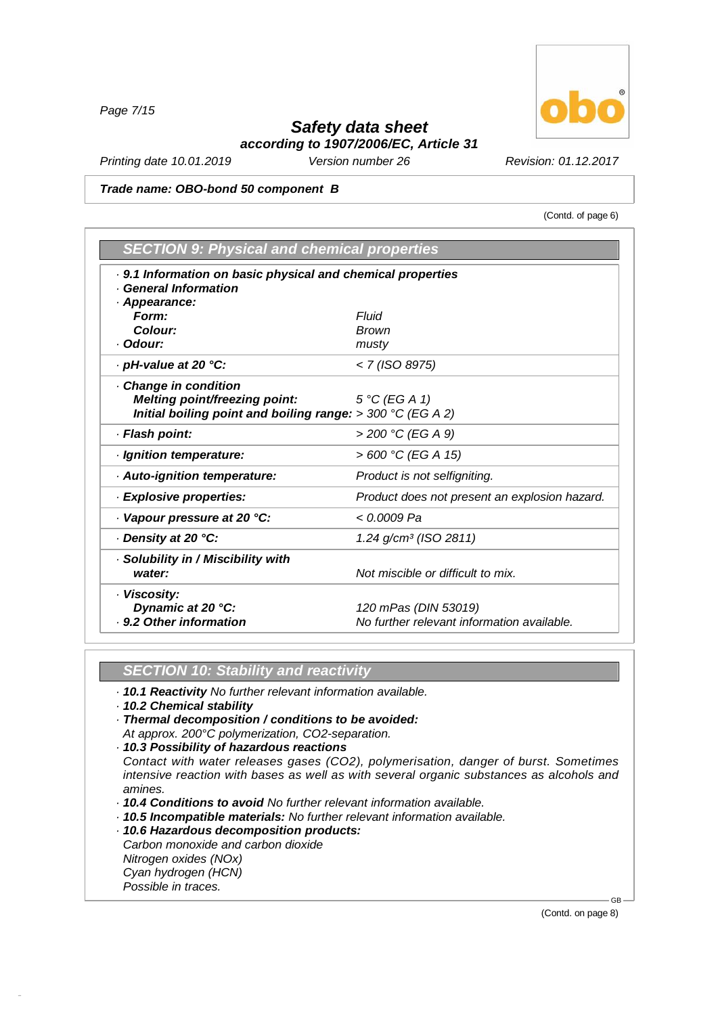*Page 7/15*

## *Safety data sheet*

*according to 1907/2006/EC, Article 31*

*Printing date 10.01.2019 Version number 26 Revision: 01.12.2017*

*Trade name: OBO-bond 50 component B*

(Contd. of page 6)

| <b>SECTION 9: Physical and chemical properties</b>           |                                               |
|--------------------------------------------------------------|-----------------------------------------------|
| . 9.1 Information on basic physical and chemical properties  |                                               |
| <b>General Information</b>                                   |                                               |
| Appearance:                                                  |                                               |
| Form:                                                        | Fluid                                         |
| Colour:                                                      | <b>Brown</b>                                  |
| · Odour:                                                     | musty                                         |
| · pH-value at 20 °C:                                         | < 7 (ISO 8975)                                |
| Change in condition                                          |                                               |
| <b>Melting point/freezing point:</b>                         | $5^{\circ}C$ (EG A 1)                         |
| Initial boiling point and boiling range: $>$ 300 °C (EG A 2) |                                               |
| · Flash point:                                               | > 200 °C (EG A 9)                             |
| · Ignition temperature:                                      | > 600 °C (EG A 15)                            |
| · Auto-ignition temperature:                                 | Product is not selfigniting.                  |
| · Explosive properties:                                      | Product does not present an explosion hazard. |
| Vapour pressure at 20 °C:                                    | < 0.0009 Pa                                   |
| Density at 20 °C:                                            | $1.24$ g/cm <sup>3</sup> (ISO 2811)           |
| · Solubility in / Miscibility with                           |                                               |
| water:                                                       | Not miscible or difficult to mix.             |
| · Viscosity:                                                 |                                               |
| Dynamic at 20 °C:                                            | 120 mPas (DIN 53019)                          |
| . 9.2 Other information                                      | No further relevant information available.    |

### *SECTION 10: Stability and reactivity*

- *· 10.1 Reactivity No further relevant information available.*
- *· 10.2 Chemical stability*
- *· Thermal decomposition / conditions to be avoided:*
- *At approx. 200°C polymerization, CO2-separation.*
- *· 10.3 Possibility of hazardous reactions*

*Contact with water releases gases (CO2), polymerisation, danger of burst. Sometimes intensive reaction with bases as well as with several organic substances as alcohols and amines.*

- *· 10.4 Conditions to avoid No further relevant information available.*
- *· 10.5 Incompatible materials: No further relevant information available.*
- *· 10.6 Hazardous decomposition products:*

*Carbon monoxide and carbon dioxide*

*Nitrogen oxides (NOx)*

*Cyan hydrogen (HCN)*

*Possible in traces.*

48.0.6

GB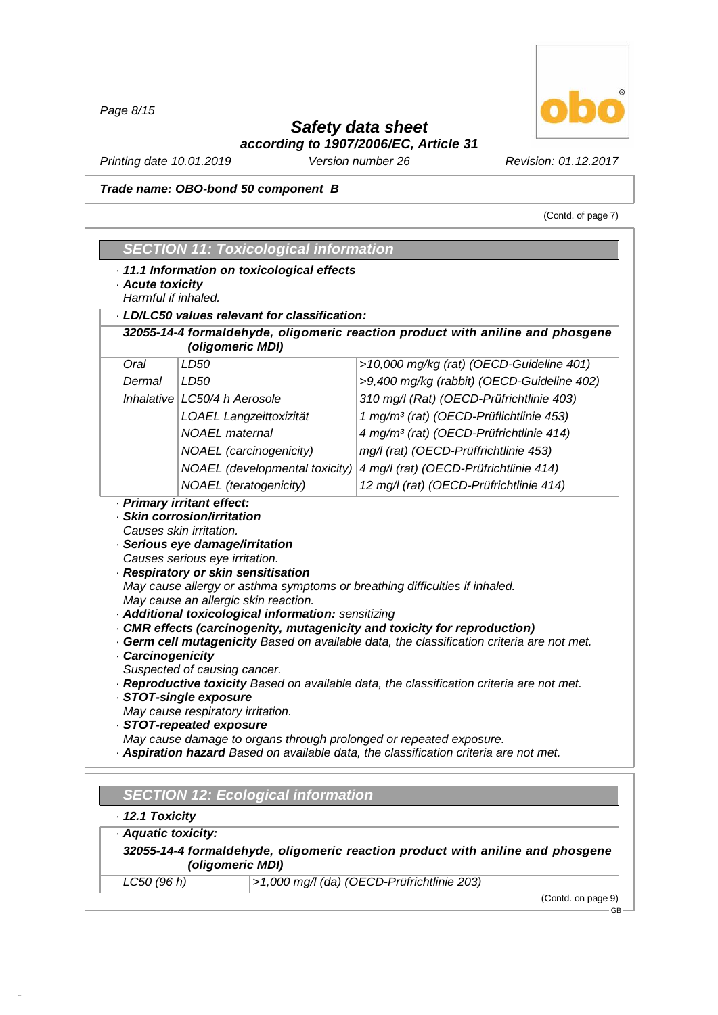*Page 8/15*

# *Safety data sheet*



*according to 1907/2006/EC, Article 31*

*Printing date 10.01.2019 Version number 26 Revision: 01.12.2017*

*Trade name: OBO-bond 50 component B*

(Contd. of page 7)

| · Acute toxicity                       | · 11.1 Information on toxicological effects                                                                             |                                                                                                                                                                                                                                                                    |
|----------------------------------------|-------------------------------------------------------------------------------------------------------------------------|--------------------------------------------------------------------------------------------------------------------------------------------------------------------------------------------------------------------------------------------------------------------|
| Harmful if inhaled.                    |                                                                                                                         |                                                                                                                                                                                                                                                                    |
|                                        | · LD/LC50 values relevant for classification:                                                                           |                                                                                                                                                                                                                                                                    |
|                                        | (oligomeric MDI)                                                                                                        | 32055-14-4 formaldehyde, oligomeric reaction product with aniline and phosgene                                                                                                                                                                                     |
| Oral                                   | LD50                                                                                                                    | >10,000 mg/kg (rat) (OECD-Guideline 401)                                                                                                                                                                                                                           |
| Dermal                                 | LD50                                                                                                                    | >9,400 mg/kg (rabbit) (OECD-Guideline 402)                                                                                                                                                                                                                         |
|                                        | Inhalative LC50/4 h Aerosole                                                                                            | 310 mg/l (Rat) (OECD-Prüfrichtlinie 403)                                                                                                                                                                                                                           |
|                                        | LOAEL Langzeittoxizität                                                                                                 | 1 mg/m <sup>3</sup> (rat) (OECD-Prüflichtlinie 453)                                                                                                                                                                                                                |
|                                        | <b>NOAEL</b> maternal                                                                                                   | 4 mg/m <sup>3</sup> (rat) (OECD-Prüfrichtlinie 414)                                                                                                                                                                                                                |
|                                        | <b>NOAEL</b> (carcinogenicity)                                                                                          | mg/l (rat) (OECD-Prüffrichtlinie 453)                                                                                                                                                                                                                              |
|                                        | NOAEL (developmental toxicity)                                                                                          | 4 mg/l (rat) (OECD-Prüfrichtlinie 414)                                                                                                                                                                                                                             |
|                                        | <b>NOAEL</b> (teratogenicity)                                                                                           | 12 mg/l (rat) (OECD-Prüfrichtlinie 414)                                                                                                                                                                                                                            |
|                                        | May cause an allergic skin reaction.<br>· Additional toxicological information: sensitizing                             |                                                                                                                                                                                                                                                                    |
| Carcinogenicity                        | Suspected of causing cancer.<br>· STOT-single exposure<br>May cause respiratory irritation.<br>· STOT-repeated exposure | CMR effects (carcinogenity, mutagenicity and toxicity for reproduction)<br>. Germ cell mutagenicity Based on available data, the classification criteria are not met.<br>· Reproductive toxicity Based on available data, the classification criteria are not met. |
|                                        | May cause damage to organs through prolonged or repeated exposure.<br><b>SECTION 12: Ecological information</b>         | . Aspiration hazard Based on available data, the classification criteria are not met.                                                                                                                                                                              |
| · 12.1 Toxicity<br>· Aquatic toxicity: |                                                                                                                         |                                                                                                                                                                                                                                                                    |

*LC50 (96 h) >1,000 mg/l (da) (OECD-Prüfrichtlinie 203)*

48.0.6

(Contd. on page 9) GB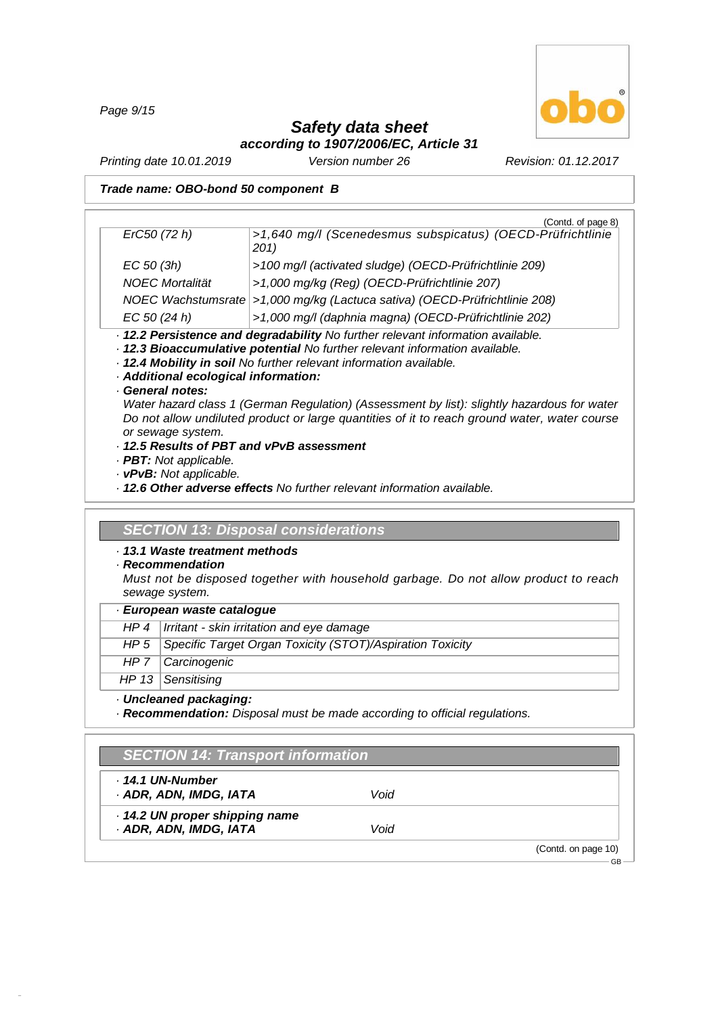*Page 9/15*



GB

## *Safety data sheet*

*according to 1907/2006/EC, Article 31*

*Printing date 10.01.2019 Version number 26 Revision: 01.12.2017*

### *Trade name: OBO-bond 50 component B*

|                        | (Contd. of page 8)                                                              |
|------------------------|---------------------------------------------------------------------------------|
| ErC50 (72 h)           | >1,640 mg/l (Scenedesmus subspicatus) (OECD-Prüfrichtlinie                      |
|                        | 201)                                                                            |
| $EC$ 50 (3h)           | >100 mg/l (activated sludge) (OECD-Prüfrichtlinie 209)                          |
| <b>NOEC Mortalität</b> | >1,000 mg/kg (Reg) (OECD-Prüfrichtlinie 207)                                    |
|                        | NOEC Wachstumsrate > 1,000 mg/kg (Lactuca sativa) (OECD-Prüfrichtlinie 208)     |
| EC 50 (24 h)           | >1,000 mg/l (daphnia magna) (OECD-Prüfrichtlinie 202)                           |
|                        | . 12.2 Persistence and degradability No further relevant information available. |
|                        | . 12.3 Bioaccumulative potential No further relevant information available.     |
|                        | . 12.4 Mobility in soil No further relevant information available.              |

*· Additional ecological information:*

### *· General notes:*

*Water hazard class 1 (German Regulation) (Assessment by list): slightly hazardous for water Do not allow undiluted product or large quantities of it to reach ground water, water course or sewage system.*

- *· 12.5 Results of PBT and vPvB assessment*
- *· PBT: Not applicable.*
- *· vPvB: Not applicable.*
- *· 12.6 Other adverse effects No further relevant information available.*

### *SECTION 13: Disposal considerations*

- *· 13.1 Waste treatment methods*
- *· Recommendation*

*Must not be disposed together with household garbage. Do not allow product to reach sewage system.*

### *· European waste catalogue*

| $HP 4$ $\mid$ Irritant - skin irritation and eye damage |  |
|---------------------------------------------------------|--|
|---------------------------------------------------------|--|

- *HP 5 Specific Target Organ Toxicity (STOT)/Aspiration Toxicity*
- *HP 7 Carcinogenic*

*HP 13 Sensitising*

48.0.6

### *· Uncleaned packaging:*

*· Recommendation: Disposal must be made according to official regulations.*

### *SECTION 14: Transport information*

| . 14.1 UN-Number<br>· ADR, ADN, IMDG, IATA | Void |                     |
|--------------------------------------------|------|---------------------|
| 14.2 UN proper shipping name               |      |                     |
| · ADR, ADN, IMDG, IATA                     | Void |                     |
|                                            |      | (Contd. on page 10) |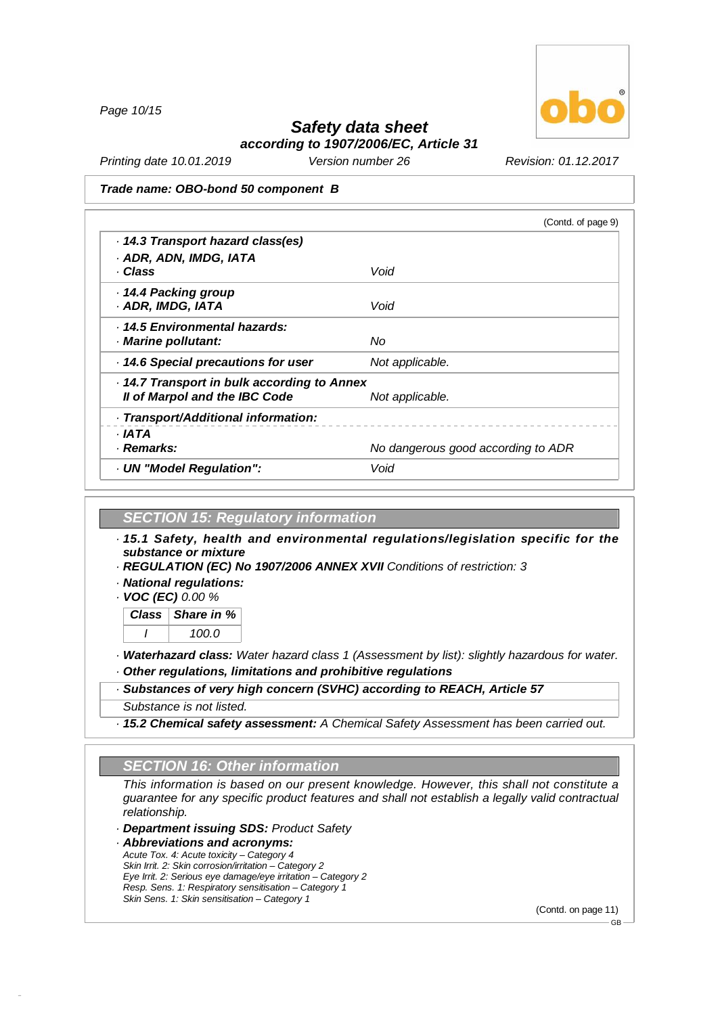*Page 10/15*



### *Safety data sheet according to 1907/2006/EC, Article 31*

*Printing date 10.01.2019 Version number 26 Revision: 01.12.2017*

#### *Trade name: OBO-bond 50 component B*

|                                           | (Contd. of page 9)                 |
|-------------------------------------------|------------------------------------|
| 14.3 Transport hazard class(es)           |                                    |
| · ADR, ADN, IMDG, IATA                    |                                    |
| · Class                                   | Void                               |
| · 14.4 Packing group                      |                                    |
| · ADR, IMDG, IATA                         | Void                               |
| . 14.5 Environmental hazards:             |                                    |
| · Marine pollutant:                       | Nο                                 |
| 14.6 Special precautions for user         | Not applicable.                    |
| 14.7 Transport in bulk according to Annex |                                    |
| Il of Marpol and the IBC Code             | Not applicable.                    |
| · Transport/Additional information:       |                                    |
| · IATA                                    |                                    |
| · Remarks:                                | No dangerous good according to ADR |
| · UN "Model Regulation":                  | Void                               |
|                                           |                                    |

### *SECTION 15: Regulatory information*

*· 15.1 Safety, health and environmental regulations/legislation specific for the substance or mixture*

*· REGULATION (EC) No 1907/2006 ANNEX XVII Conditions of restriction: 3*

*· National regulations:*

*· VOC (EC) 0.00 %*

*Class Share in % I 100.0*

*· Waterhazard class: Water hazard class 1 (Assessment by list): slightly hazardous for water.*

*· Other regulations, limitations and prohibitive regulations*

### *· Substances of very high concern (SVHC) according to REACH, Article 57*

*Substance is not listed.*

48.0.6

*· 15.2 Chemical safety assessment: A Chemical Safety Assessment has been carried out.*

### *SECTION 16: Other information*

*This information is based on our present knowledge. However, this shall not constitute a guarantee for any specific product features and shall not establish a legally valid contractual relationship.*

*· Department issuing SDS: Product Safety*

*· Abbreviations and acronyms: Acute Tox. 4: Acute toxicity –Category 4 Skin Irrit. 2: Skin corrosion/irritation –Category 2 Eye Irrit. 2: Serious eye damage/eye irritation –Category 2 Resp. Sens. 1: Respiratory sensitisation –Category 1 Skin Sens. 1: Skin sensitisation –Category 1*

(Contd. on page 11)

GB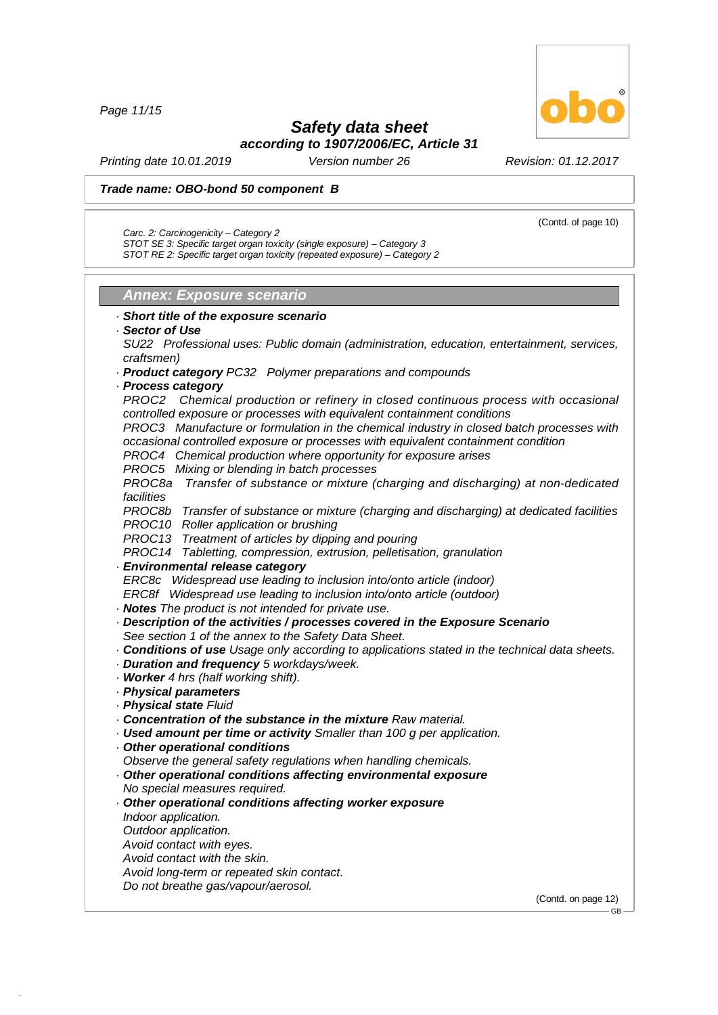*Page 11/15*

48.0.6

## *Safety data sheet*

*according to 1907/2006/EC, Article 31*

*Printing date 10.01.2019 Version number 26 Revision: 01.12.2017*

(Contd. of page 10)

### *Trade name: OBO-bond 50 component B*

*Carc. 2: Carcinogenicity –Category 2*

*STOT SE 3: Specific target organ toxicity (single exposure) –Category 3 STOT RE 2: Specific target organ toxicity (repeated exposure) –Category 2*

*Annex: Exposure scenario*

*· Short title of the exposure scenario · Sector of Use SU22 Professional uses: Public domain (administration, education, entertainment, services, craftsmen) · Product category PC32 Polymer preparations and compounds · Process category PROC2 Chemical production or refinery in closed continuous process with occasional controlled exposure or processes with equivalent containment conditions PROC3 Manufacture or formulation in the chemical industry in closed batch processes with occasional controlled exposure or processes with equivalent containment condition PROC4 Chemical production where opportunity for exposure arises PROC5 Mixing or blending in batch processes PROC8a Transfer of substance or mixture (charging and discharging) at non-dedicated facilities PROC8b Transfer of substance or mixture (charging and discharging) at dedicated facilities PROC10 Roller application or brushing PROC13 Treatment of articles by dipping and pouring PROC14 Tabletting, compression, extrusion, pelletisation, granulation · Environmental release category ERC8c Widespread use leading to inclusion into/onto article (indoor) ERC8f Widespread use leading to inclusion into/onto article (outdoor) · Notes The product is not intended for private use. · Description of the activities / processes covered in the Exposure Scenario See section 1 of the annex to the Safety Data Sheet. · Conditions of use Usage only according to applications stated in the technical data sheets. · Duration and frequency 5 workdays/week. · Worker 4 hrs (half working shift). · Physical parameters · Physical state Fluid · Concentration of the substance in the mixture Raw material. · Used amount per time or activity Smaller than 100 g per application. · Other operational conditions Observe the general safety regulations when handling chemicals. · Other operational conditions affecting environmental exposure No special measures required. · Other operational conditions affecting worker exposure Indoor application. Outdoor application. Avoid contact with eyes. Avoid contact with the skin. Avoid long-term or repeated skin contact. Do not breathe gas/vapour/aerosol.* (Contd. on page 12) GB

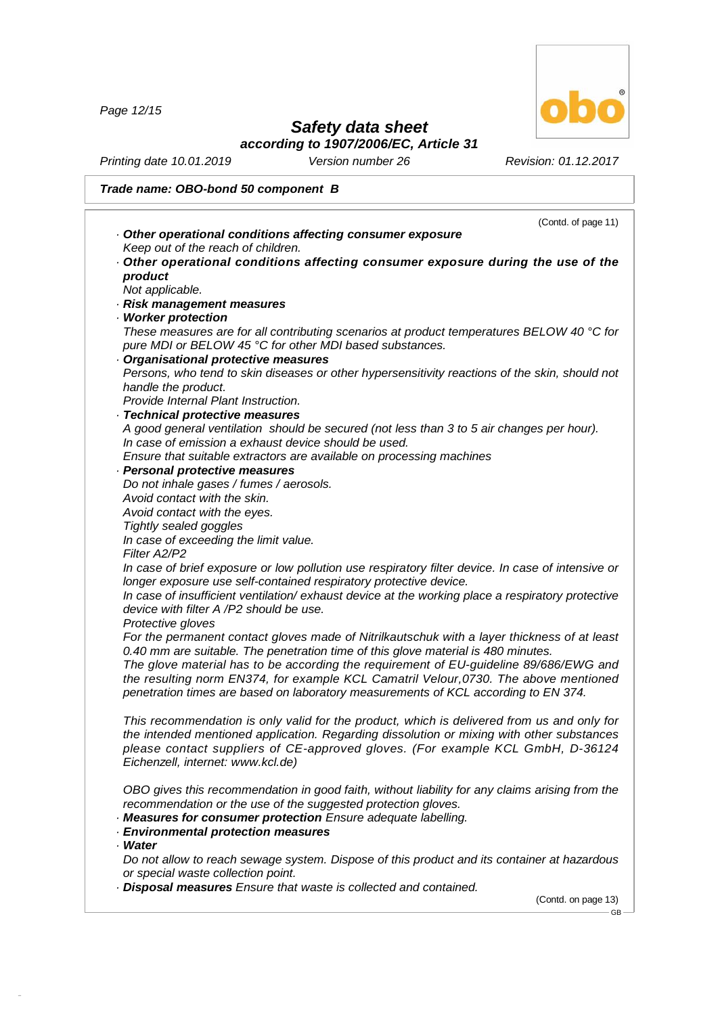*Page 12/15*

48.0.6



## *Safety data sheet*

*according to 1907/2006/EC, Article 31*

*Printing date 10.01.2019 Version number 26 Revision: 01.12.2017*

|                                                                                                                                                                | (Contd. of page 11) |
|----------------------------------------------------------------------------------------------------------------------------------------------------------------|---------------------|
| Other operational conditions affecting consumer exposure                                                                                                       |                     |
| Keep out of the reach of children.                                                                                                                             |                     |
| Other operational conditions affecting consumer exposure during the use of the                                                                                 |                     |
| product                                                                                                                                                        |                     |
| Not applicable.                                                                                                                                                |                     |
| · Risk management measures                                                                                                                                     |                     |
| · Worker protection                                                                                                                                            |                     |
| These measures are for all contributing scenarios at product temperatures BELOW 40 $^{\circ}$ C for<br>pure MDI or BELOW 45 °C for other MDI based substances. |                     |
| Organisational protective measures                                                                                                                             |                     |
| Persons, who tend to skin diseases or other hypersensitivity reactions of the skin, should not                                                                 |                     |
| handle the product.                                                                                                                                            |                     |
| Provide Internal Plant Instruction.                                                                                                                            |                     |
| · Technical protective measures                                                                                                                                |                     |
| A good general ventilation should be secured (not less than 3 to 5 air changes per hour).                                                                      |                     |
| In case of emission a exhaust device should be used.                                                                                                           |                     |
| Ensure that suitable extractors are available on processing machines                                                                                           |                     |
| · Personal protective measures                                                                                                                                 |                     |
| Do not inhale gases / fumes / aerosols.                                                                                                                        |                     |
| Avoid contact with the skin.                                                                                                                                   |                     |
| Avoid contact with the eyes.                                                                                                                                   |                     |
| Tightly sealed goggles                                                                                                                                         |                     |
| In case of exceeding the limit value.                                                                                                                          |                     |
| Filter A2/P2                                                                                                                                                   |                     |
| In case of brief exposure or low pollution use respiratory filter device. In case of intensive or                                                              |                     |
| longer exposure use self-contained respiratory protective device.                                                                                              |                     |
| In case of insufficient ventilation/exhaust device at the working place a respiratory protective                                                               |                     |
| device with filter A /P2 should be use.                                                                                                                        |                     |
| Protective gloves                                                                                                                                              |                     |
| For the permanent contact gloves made of Nitrilkautschuk with a layer thickness of at least                                                                    |                     |
| 0.40 mm are suitable. The penetration time of this glove material is 480 minutes.                                                                              |                     |
| The glove material has to be according the requirement of EU-guideline 89/686/EWG and                                                                          |                     |
| the resulting norm EN374, for example KCL Camatril Velour, 0730. The above mentioned                                                                           |                     |
| penetration times are based on laboratory measurements of KCL according to EN 374.                                                                             |                     |
| This recommendation is only valid for the product, which is delivered from us and only for                                                                     |                     |
| the intended mentioned application. Regarding dissolution or mixing with other substances                                                                      |                     |
| please contact suppliers of CE-approved gloves. (For example KCL GmbH, D-36124                                                                                 |                     |
| Eichenzell, internet: www.kcl.de)                                                                                                                              |                     |
|                                                                                                                                                                |                     |
| OBO gives this recommendation in good faith, without liability for any claims arising from the                                                                 |                     |
| recommendation or the use of the suggested protection gloves.                                                                                                  |                     |
| · Measures for consumer protection Ensure adequate labelling.                                                                                                  |                     |
| <b>Environmental protection measures</b>                                                                                                                       |                     |
| · Water                                                                                                                                                        |                     |
| Do not allow to reach sewage system. Dispose of this product and its container at hazardous                                                                    |                     |
| or special waste collection point.                                                                                                                             |                     |
| . Disposal measures Ensure that waste is collected and contained.                                                                                              |                     |
|                                                                                                                                                                | (Contd. on page 13) |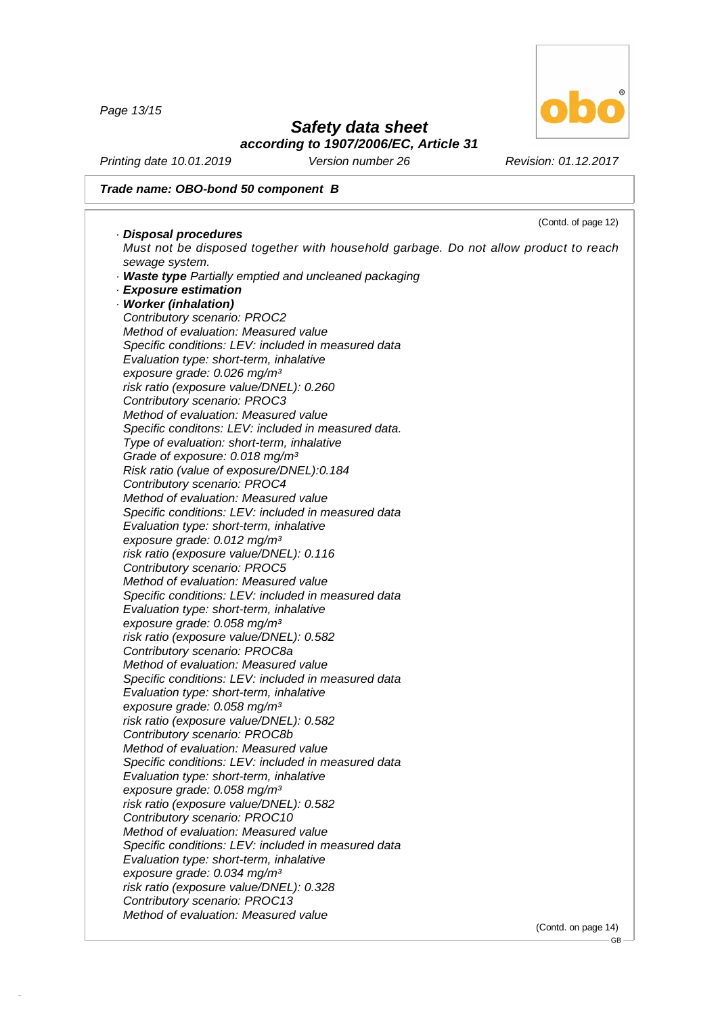*Page 13/15*

48.0.6



### *Safety data sheet according to 1907/2006/EC, Article 31*

*Printing date 10.01.2019 Version number 26 Revision: 01.12.2017*

### *Trade name: OBO-bond 50 component B*

|                                                                                                                  | (Contd. of page 12) |
|------------------------------------------------------------------------------------------------------------------|---------------------|
| · Disposal procedures                                                                                            |                     |
| Must not be disposed together with household garbage. Do not allow product to reach                              |                     |
| sewage system.                                                                                                   |                     |
| · Waste type Partially emptied and uncleaned packaging                                                           |                     |
| · Exposure estimation                                                                                            |                     |
| · Worker (inhalation)                                                                                            |                     |
| Contributory scenario: PROC2                                                                                     |                     |
| Method of evaluation: Measured value                                                                             |                     |
| Specific conditions: LEV: included in measured data                                                              |                     |
| Evaluation type: short-term, inhalative                                                                          |                     |
| exposure grade: 0.026 mg/m <sup>3</sup>                                                                          |                     |
| risk ratio (exposure value/DNEL): 0.260                                                                          |                     |
| Contributory scenario: PROC3                                                                                     |                     |
| Method of evaluation: Measured value                                                                             |                     |
| Specific conditons: LEV: included in measured data.                                                              |                     |
| Type of evaluation: short-term, inhalative                                                                       |                     |
| Grade of exposure: 0.018 mg/m <sup>3</sup>                                                                       |                     |
| Risk ratio (value of exposure/DNEL):0.184                                                                        |                     |
| Contributory scenario: PROC4                                                                                     |                     |
| Method of evaluation: Measured value                                                                             |                     |
| Specific conditions: LEV: included in measured data                                                              |                     |
| Evaluation type: short-term, inhalative                                                                          |                     |
| exposure grade: 0.012 mg/m <sup>3</sup>                                                                          |                     |
| risk ratio (exposure value/DNEL): 0.116                                                                          |                     |
| Contributory scenario: PROC5                                                                                     |                     |
| Method of evaluation: Measured value                                                                             |                     |
| Specific conditions: LEV: included in measured data                                                              |                     |
| Evaluation type: short-term, inhalative                                                                          |                     |
| exposure grade: 0.058 mg/m <sup>3</sup>                                                                          |                     |
| risk ratio (exposure value/DNEL): 0.582                                                                          |                     |
| Contributory scenario: PROC8a                                                                                    |                     |
| Method of evaluation: Measured value                                                                             |                     |
| Specific conditions: LEV: included in measured data                                                              |                     |
| Evaluation type: short-term, inhalative                                                                          |                     |
| exposure grade: 0.058 mg/m <sup>3</sup>                                                                          |                     |
|                                                                                                                  |                     |
| risk ratio (exposure value/DNEL): 0.582                                                                          |                     |
| Contributory scenario: PROC8b                                                                                    |                     |
| Method of evaluation: Measured value                                                                             |                     |
| Specific conditions: LEV: included in measured data                                                              |                     |
| Evaluation type: short-term, inhalative                                                                          |                     |
| exposure grade: 0.058 mg/m <sup>3</sup>                                                                          |                     |
| risk ratio (exposure value/DNEL): 0.582                                                                          |                     |
| Contributory scenario: PROC10                                                                                    |                     |
| Method of evaluation: Measured value                                                                             |                     |
| Specific conditions: LEV: included in measured data                                                              |                     |
| Evaluation type: short-term, inhalative                                                                          |                     |
|                                                                                                                  |                     |
| exposure grade: 0.034 mg/m <sup>3</sup>                                                                          |                     |
|                                                                                                                  |                     |
| risk ratio (exposure value/DNEL): 0.328<br>Contributory scenario: PROC13<br>Method of evaluation: Measured value |                     |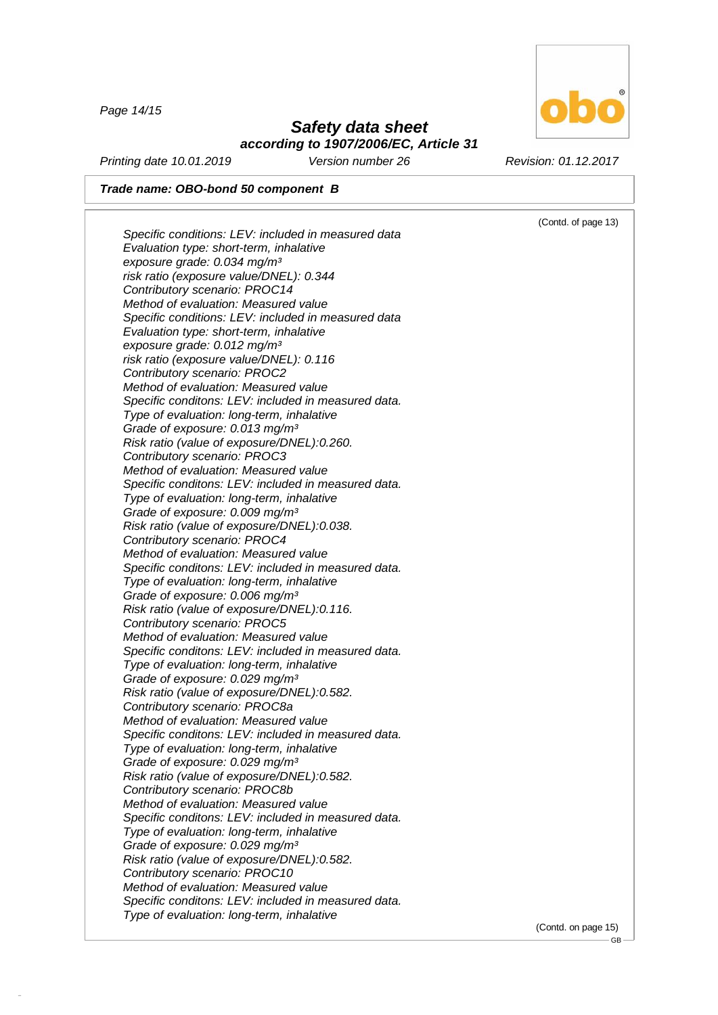*Page 14/15*

48.0.6

### *Safety data sheet according to 1907/2006/EC, Article 31*

*Printing date 10.01.2019 Version number 26 Revision: 01.12.2017*

*Trade name: OBO-bond 50 component B*

*Type of evaluation: long-term, inhalative*

(Contd. of page 13) *Specific conditions: LEV: included in measured data Evaluation type: short-term, inhalative exposure grade: 0.034 mg/m³ risk ratio (exposure value/DNEL): 0.344 Contributory scenario: PROC14 Method of evaluation: Measured value Specific conditions: LEV: included in measured data Evaluation type: short-term, inhalative exposure grade: 0.012 mg/m³ risk ratio (exposure value/DNEL): 0.116 Contributory scenario: PROC2 Method of evaluation: Measured value Specific conditons: LEV: included in measured data. Type of evaluation: long-term, inhalative Grade of exposure: 0.013 mg/m³ Risk ratio (value of exposure/DNEL):0.260. Contributory scenario: PROC3 Method of evaluation: Measured value Specific conditons: LEV: included in measured data. Type of evaluation: long-term, inhalative Grade of exposure: 0.009 mg/m³ Risk ratio (value of exposure/DNEL):0.038. Contributory scenario: PROC4 Method of evaluation: Measured value Specific conditons: LEV: included in measured data. Type of evaluation: long-term, inhalative Grade of exposure: 0.006 mg/m³ Risk ratio (value of exposure/DNEL):0.116. Contributory scenario: PROC5 Method of evaluation: Measured value Specific conditons: LEV: included in measured data. Type of evaluation: long-term, inhalative Grade of exposure: 0.029 mg/m³ Risk ratio (value of exposure/DNEL):0.582. Contributory scenario: PROC8a Method of evaluation: Measured value Specific conditons: LEV: included in measured data. Type of evaluation: long-term, inhalative Grade of exposure: 0.029 mg/m³ Risk ratio (value of exposure/DNEL):0.582. Contributory scenario: PROC8b Method of evaluation: Measured value Specific conditons: LEV: included in measured data. Type of evaluation: long-term, inhalative Grade of exposure: 0.029 mg/m³ Risk ratio (value of exposure/DNEL):0.582. Contributory scenario: PROC10 Method of evaluation: Measured value Specific conditons: LEV: included in measured data.*

(Contd. on page 15)



GB